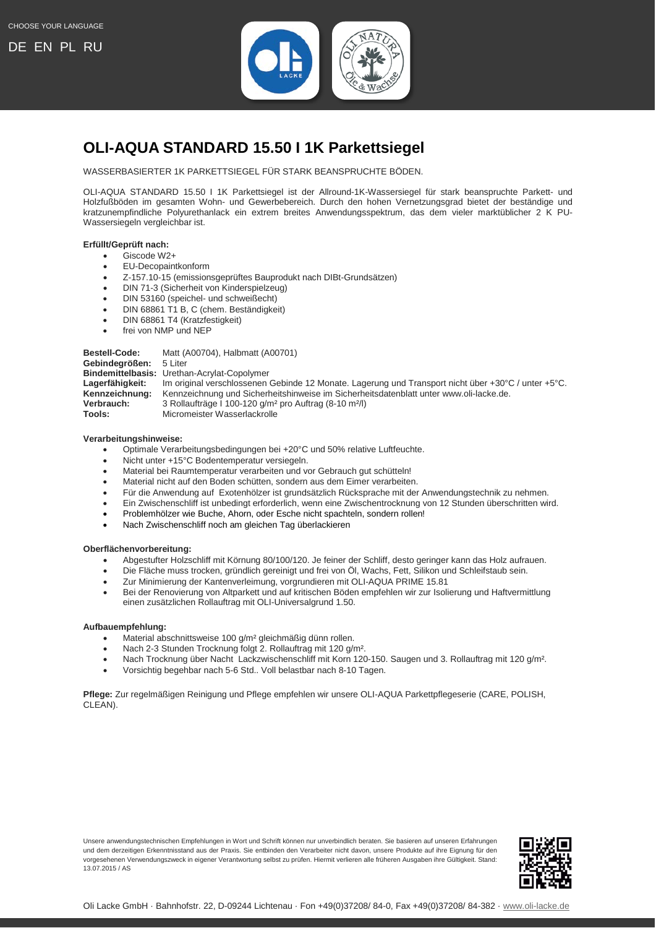

## <span id="page-0-0"></span>**OLI-AQUA STANDARD 15.50 I 1K Parkettsiegel**

WASSERBASIERTER 1K PARKETTSIEGEL FÜR STARK BEANSPRUCHTE BÖDEN.

OLI-AQUA STANDARD 15.50 I 1K Parkettsiegel ist der Allround-1K-Wassersiegel für stark beanspruchte Parkett- und Holzfußböden im gesamten Wohn- und Gewerbebereich. Durch den hohen Vernetzungsgrad bietet der beständige und kratzunempfindliche Polyurethanlack ein extrem breites Anwendungsspektrum, das dem vieler marktüblicher 2 K PU-Wassersiegeln vergleichbar ist.

## **Erfüllt/Geprüft nach:**

- Giscode W2+
- EU-Decopaintkonform
- Z-157.10-15 (emissionsgeprüftes Bauprodukt nach DIBt-Grundsätzen)
- DIN 71-3 (Sicherheit von Kinderspielzeug)
- DIN 53160 (speichel- und schweißecht)
- DIN 68861 T1 B, C (chem. Beständigkeit)
- DIN 68861 T4 (Kratzfestigkeit)
- frei von NMP und NEP

**Bestell-Code:** Matt (A00704), Halbmatt (A00701)

**Gebindegrößen:** 5 Liter **Bindemittelbasis:** Urethan-Acrylat-Copolymer Lagerfähigkeit: Im original verschlossenen Gebinde 12 Monate. Lagerung und Transport nicht über +30°C / unter +5°C.<br>Kennzeichnung: Kennzeichnung und Sicherheitshinweise im Sicherheitsdatenblatt unter www.oli-lacke.de. Kennzeichnung: Kennzeichnung und Sicherheitshinweise im Sicherheitsdatenblatt unter www.oli-lacke.de.<br>
Verbrauch: 3 Rollaufträge I 100-120 g/m<sup>2</sup> pro Auftrag (8-10 m<sup>2</sup>/l) **Verbrauch:** 3 Rollaufträge I 100-120 g/m<sup>2</sup> pro Auftrag (8-10 m<sup>2</sup>/l)<br>**Tools:** Micromeister Wasserlackrolle **Micromeister Wasserlackrolle** 

## **Verarbeitungshinweise:**

- Optimale Verarbeitungsbedingungen bei +20°C und 50% relative Luftfeuchte.
- Nicht unter +15°C Bodentemperatur versiegeln.
- Material bei Raumtemperatur verarbeiten und vor Gebrauch gut schütteln!
- Material nicht auf den Boden schütten, sondern aus dem Eimer verarbeiten.
- Für die Anwendung auf Exotenhölzer ist grundsätzlich Rücksprache mit der Anwendungstechnik zu nehmen.
- Ein Zwischenschliff ist unbedingt erforderlich, wenn eine Zwischentrocknung von 12 Stunden überschritten wird.
- Problemhölzer wie Buche, Ahorn, oder Esche nicht spachteln, sondern rollen!
- Nach Zwischenschliff noch am gleichen Tag überlackieren

## **Oberflächenvorbereitung:**

- Abgestufter Holzschliff mit Körnung 80/100/120. Je feiner der Schliff, desto geringer kann das Holz aufrauen.
- Die Fläche muss trocken, gründlich gereinigt und frei von Öl, Wachs, Fett, Silikon und Schleifstaub sein.
- Zur Minimierung der Kantenverleimung, vorgrundieren mit OLI-AQUA PRIME 15.81
- Bei der Renovierung von Altparkett und auf kritischen Böden empfehlen wir zur Isolierung und Haftvermittlung einen zusätzlichen Rollauftrag mit OLI-Universalgrund 1.50.

## **Aufbauempfehlung:**

- Material abschnittsweise 100 g/m² gleichmäßig dünn rollen.
- Nach 2-3 Stunden Trocknung folgt 2. Rollauftrag mit 120 g/m².
- Nach Trocknung über Nacht Lackzwischenschliff mit Korn 120-150. Saugen und 3. Rollauftrag mit 120 g/m².
- Vorsichtig begehbar nach 5-6 Std.. Voll belastbar nach 8-10 Tagen.

**Pflege:** Zur regelmäßigen Reinigung und Pflege empfehlen wir unsere OLI-AQUA Parkettpflegeserie (CARE, POLISH, CLEAN).

Unsere anwendungstechnischen Empfehlungen in Wort und Schrift können nur unverbindlich beraten. Sie basieren auf unseren Erfahrungen und dem derzeitigen Erkenntnisstand aus der Praxis. Sie entbinden den Verarbeiter nicht davon, unsere Produkte auf ihre Eignung für den vorgesehenen Verwendungszweck in eigener Verantwortung selbst zu prüfen. Hiermit verlieren alle früheren Ausgaben ihre Gültigkeit. Stand: 13.07.2015 / AS

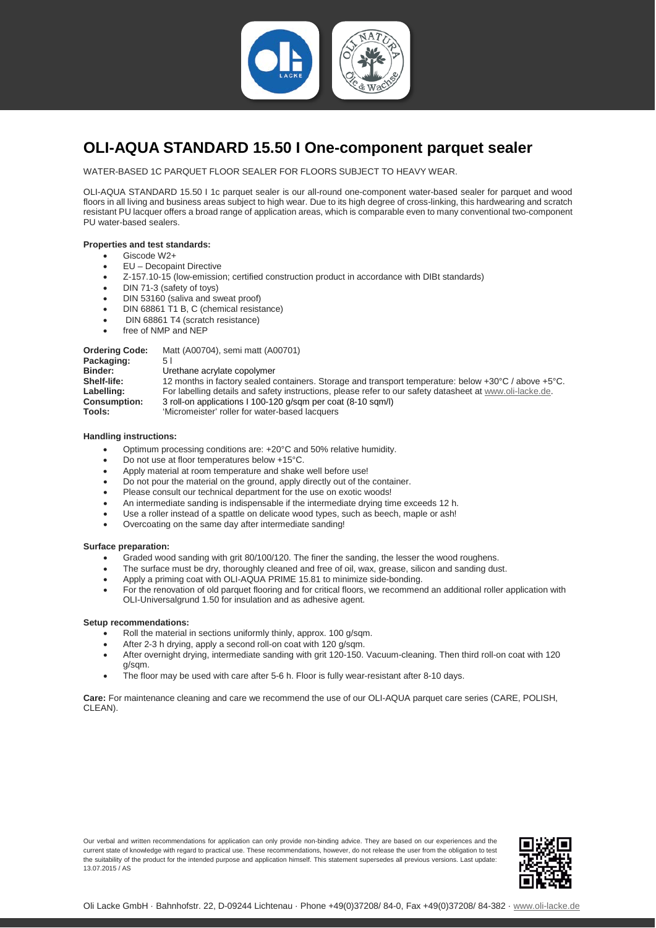

## <span id="page-1-0"></span>**OLI-AQUA STANDARD 15.50 I One-component parquet sealer**

WATER-BASED 1C PARQUET FLOOR SEALER FOR FLOORS SUBJECT TO HEAVY WEAR.

OLI-AQUA STANDARD 15.50 I 1c parquet sealer is our all-round one-component water-based sealer for parquet and wood floors in all living and business areas subject to high wear. Due to its high degree of cross-linking, this hardwearing and scratch resistant PU lacquer offers a broad range of application areas, which is comparable even to many conventional two-component PU water-based sealers.

#### **Properties and test standards:**

- Giscode W2+
- EU Decopaint Directive
- Z-157.10-15 (low-emission; certified construction product in accordance with DIBt standards)
- DIN 71-3 (safety of toys)
- DIN 53160 (saliva and sweat proof)
- DIN 68861 T1 B, C (chemical resistance)
- DIN 68861 T4 (scratch resistance)
- free of NMP and NEP

**Ordering Code:** Matt (A00704), semi matt (A00701)<br>**Packaging:** 5.1 Packaging:<br>Binder: **Binder:** Urethane acrylate copolymer<br> **Shelf-life:** 12 months in factory sealed c **Shelf-life:** 12 months in factory sealed containers. Storage and transport temperature: below +30°C / above +5°C.<br> **Labelling:** For labelling details and safety instructions, please refer to our safety datasheet at www.ol Labelling: For labelling details and safety instructions, please refer to our safety datasheet at [www.oli-lacke.de.](http://www.oli-lacke.de/)<br> **Consumption:** 3 roll-on applications I 100-120 g/sqm per coat (8-10 sqm/l) **Consumption:** 3 roll-on applications I 100-120 g/sqm per coat (8-10 sqm/l)<br>Tools: 'Wicromeister' roller for water-based lacquers 'Micromeister' roller for water-based lacquers

### **Handling instructions:**

- Optimum processing conditions are: +20°C and 50% relative humidity.
- Do not use at floor temperatures below +15°C.
- Apply material at room temperature and shake well before use!
- Do not pour the material on the ground, apply directly out of the container.
- Please consult our technical department for the use on exotic woods!
- An intermediate sanding is indispensable if the intermediate drying time exceeds 12 h.
- Use a roller instead of a spattle on delicate wood types, such as beech, maple or ash!
- Overcoating on the same day after intermediate sanding!

## **Surface preparation:**

- Graded wood sanding with grit 80/100/120. The finer the sanding, the lesser the wood roughens.
- The surface must be dry, thoroughly cleaned and free of oil, wax, grease, silicon and sanding dust.
- Apply a priming coat with OLI-AQUA PRIME 15.81 to minimize side-bonding.
- For the renovation of old parquet flooring and for critical floors, we recommend an additional roller application with OLI-Universalgrund 1.50 for insulation and as adhesive agent.

## **Setup recommendations:**

- Roll the material in sections uniformly thinly, approx. 100 g/sqm.
- After 2-3 h drying, apply a second roll-on coat with 120 g/sqm.
- After overnight drying, intermediate sanding with grit 120-150. Vacuum-cleaning. Then third roll-on coat with 120 g/sqm.
- The floor may be used with care after 5-6 h. Floor is fully wear-resistant after 8-10 days.

**Care:** For maintenance cleaning and care we recommend the use of our OLI-AQUA parquet care series (CARE, POLISH, CLEAN)

Our verbal and written recommendations for application can only provide non-binding advice. They are based on our experiences and the current state of knowledge with regard to practical use. These recommendations, however, do not release the user from the obligation to test the suitability of the product for the intended purpose and application himself. This statement supersedes all previous versions. Last update: 13.07.2015 / AS

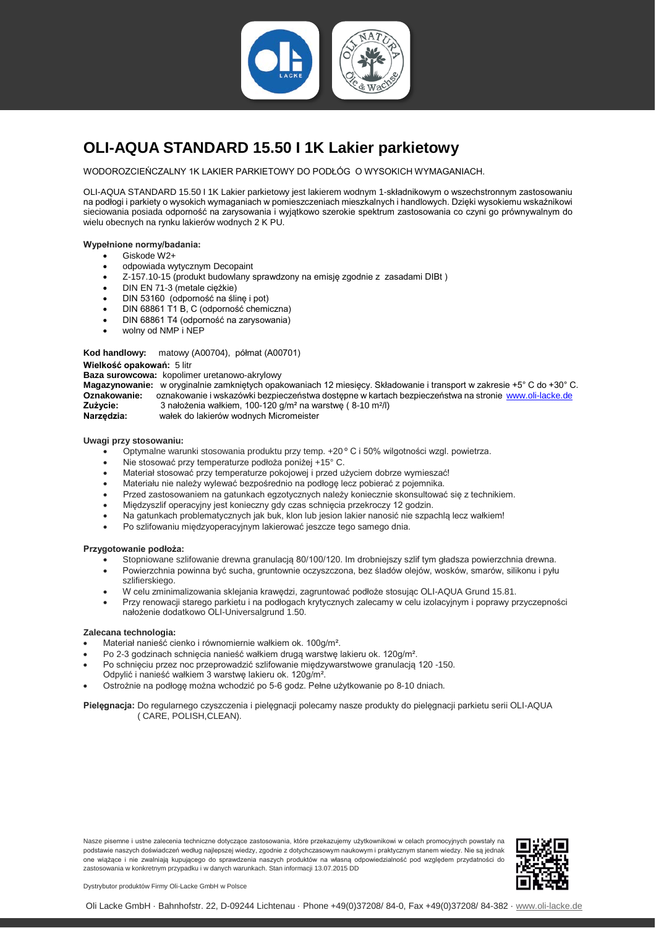

# <span id="page-2-0"></span>**OLI-AQUA STANDARD 15.50 I 1K Lakier parkietowy**

WODOROZCIEŃCZALNY 1K LAKIER PARKIETOWY DO PODŁÓG O WYSOKICH WYMAGANIACH.

OLI-AQUA STANDARD 15.50 I 1K Lakier parkietowy jest lakierem wodnym 1-składnikowym o wszechstronnym zastosowaniu na podłogi i parkiety o wysokich wymaganiach w pomieszczeniach mieszkalnych i handlowych. Dzięki wysokiemu wskaźnikowi sieciowania posiada odporność na zarysowania i wyjątkowo szerokie spektrum zastosowania co czyni go prównywalnym do wielu obecnych na rynku lakierów wodnych 2 K PU.

#### **Wypełnione normy/badania:**

- Giskode W2+
- odpowiada wytycznym Decopaint
- Z-157.10-15 (produkt budowlany sprawdzony na emisję zgodnie z zasadami DIBt )
- DIN EN 71-3 (metale ciężkie)
- DIN 53160 (odporność na ślinę i pot)
- DIN 68861 T1 B, C (odporność chemiczna)
- DIN 68861 T4 (odporność na zarysowania)
- wolny od NMP i NEP

#### **Kod handlowy:** matowy (A00704), półmat (A00701)

#### **Wielkość opakowań:** 5 litr

**Baza surowcowa:** kopolimer uretanowo-akrylowy

**Magazynowanie:** w oryginalnie zamkniętych opakowaniach 12 miesięcy. Składowanie i transport w zakresie +5° C do +30° C. **Oznakowanie:** oznakowanie i wskazówki bezpieczeństwa dostępne w kartach bezpieczeństwa na stronie [www.oli-lacke.de](http://www.oli-lacke.de/)<br>Zużycie: 3 nałożenia wałkiem. 100-120 g/m<sup>2</sup> na warstwe (8-10 m<sup>2</sup>/l) **Zużycie:** 3 nałożenia wałkiem, 100-120 g/m<sup>2</sup> na warstwę (8-10 m<sup>2</sup>/l)<br>**Narzedzia:** wałek do lakierów wodnych Micromeister

wałek do lakierów wodnych Micromeister

**Uwagi przy stosowaniu:**

- Optymalne warunki stosowania produktu przy temp. +20 º C i 50% wilgotności wzgl. powietrza.
- Nie stosować przy temperaturze podłoża poniżej +15° C.
- Materiał stosować przy temperaturze pokojowej i przed użyciem dobrze wymieszać!
- Materiału nie należy wylewać bezpośrednio na podłogę lecz pobierać z pojemnika.
- Przed zastosowaniem na gatunkach egzotycznych należy koniecznie skonsultować się z technikiem.
- Międzyszlif operacyjny jest konieczny gdy czas schnięcia przekroczy 12 godzin.
- Na gatunkach problematycznych jak buk, klon lub jesion lakier nanosić nie szpachlą lecz wałkiem!
- Po szlifowaniu międzyoperacyjnym lakierować jeszcze tego samego dnia.

#### **Przygotowanie podłoża:**

- Stopniowane szlifowanie drewna granulacją 80/100/120. Im drobniejszy szlif tym gładsza powierzchnia drewna.
- Powierzchnia powinna być sucha, gruntownie oczyszczona, bez śladów olejów, wosków, smarów, silikonu i pyłu szlifierskiego.
- W celu zminimalizowania sklejania krawędzi, zagruntować podłoże stosując OLI-AQUA Grund 15.81.
- Przy renowacji starego parkietu i na podłogach krytycznych zalecamy w celu izolacyjnym i poprawy przyczepności nałożenie dodatkowo OLI-Universalgrund 1.50.

#### **Zalecana technologia:**

- Materiał nanieść cienko i równomiernie wałkiem ok. 100g/m².
- Po 2-3 godzinach schnięcia nanieść wałkiem drugą warstwę lakieru ok. 120g/m².
- Po schnięciu przez noc przeprowadzić szlifowanie międzywarstwowe granulacją 120 -150.
- Odpylić i nanieść wałkiem 3 warstwę lakieru ok. 120g/m².
- Ostrożnie na podłogę można wchodzić po 5-6 godz. Pełne użytkowanie po 8-10 dniach.

**Pielęgnacja:** Do regularnego czyszczenia i pielęgnacji polecamy nasze produkty do pielęgnacji parkietu serii OLI-AQUA ( CARE, POLISH,CLEAN).

Nasze pisemne i ustne zalecenia techniczne dotyczące zastosowania, które przekazujemy użytkownikowi w celach promocyjnych powstały na podstawie naszych doświadczeń według najlepszej wiedzy, zgodnie z dotychczasowym naukowym i praktycznym stanem wiedzy. Nie są jednak one wiążące i nie zwalniają kupującego do sprawdzenia naszych produktów na własną odpowiedzialność pod względem przydatności do zastosowania w konkretnym przypadku i w danych warunkach. Stan informacji 13.07.2015 DD



Dystrybutor produktów Firmy Oli-Lacke GmbH w Polsce